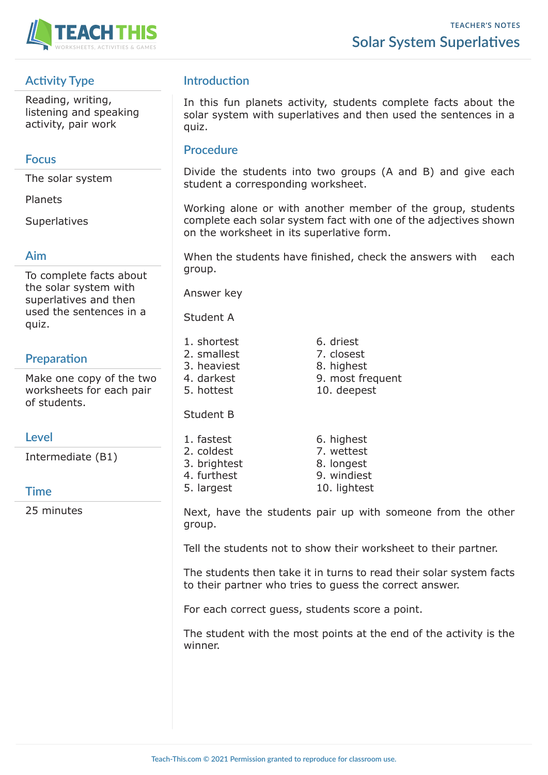

# **Activity Type**

Reading, writing, listening and speaking activity, pair work

#### **Focus**

The solar system

Planets

**Superlatives** 

#### **Aim**

To complete facts about the solar system with superlatives and then used the sentences in a quiz.

# **Preparation**

Make one copy of the two worksheets for each pair of students.

## **Level**

Intermediate (B1)

## **Time**

25 minutes

# **Introduction**

In this fun planets activity, students complete facts about the solar system with superlatives and then used the sentences in a quiz.

#### **Procedure**

Divide the students into two groups (A and B) and give each student a corresponding worksheet.

Working alone or with another member of the group, students complete each solar system fact with one of the adjectives shown on the worksheet in its superlative form.

When the students have finished, check the answers with each group.

Answer key

Student A

- 1. shortest 6. driest
- 2. smallest 7. closest 3. heaviest 8. highest
- 4. darkest 9. most frequent
- 5. hottest 10. deepest

Student B

- 1. fastest 6. highest 2. coldest 7. wettest
- 3. brightest 8. longest
- 4. furthest 9. windiest
- 5. largest 10. lightest
- Next, have the students pair up with someone from the other group.

Tell the students not to show their worksheet to their partner.

The students then take it in turns to read their solar system facts to their partner who tries to guess the correct answer.

For each correct guess, students score a point.

The student with the most points at the end of the activity is the winner.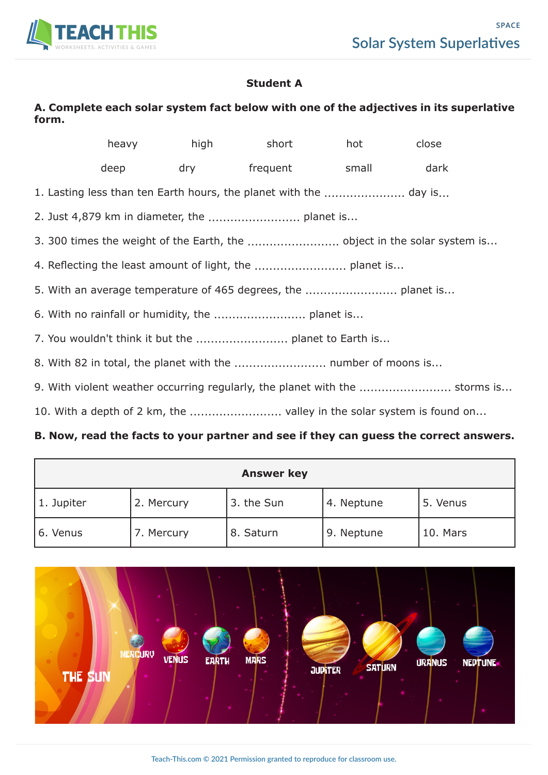

#### **Student A**

## **A. Complete each solar system fact below with one of the adjectives in its superlative form.**

|                                                                             |      |  | heavy high short                                                      | hot | close |
|-----------------------------------------------------------------------------|------|--|-----------------------------------------------------------------------|-----|-------|
|                                                                             | deep |  | dry frequent small                                                    |     | dark  |
| 1. Lasting less than ten Earth hours, the planet with the  day is           |      |  |                                                                       |     |       |
|                                                                             |      |  |                                                                       |     |       |
|                                                                             |      |  |                                                                       |     |       |
|                                                                             |      |  |                                                                       |     |       |
|                                                                             |      |  |                                                                       |     |       |
|                                                                             |      |  |                                                                       |     |       |
|                                                                             |      |  |                                                                       |     |       |
|                                                                             |      |  | 8. With 82 in total, the planet with the  number of moons is          |     |       |
| 9. With violent weather occurring regularly, the planet with the  storms is |      |  |                                                                       |     |       |
|                                                                             |      |  | 10. With a depth of 2 km, the  valley in the solar system is found on |     |       |

#### **B. Now, read the facts to your partner and see if they can guess the correct answers.**

| <b>Answer key</b> |            |            |            |          |  |  |
|-------------------|------------|------------|------------|----------|--|--|
| 1. Jupiter        | 2. Mercury | 3. the Sun | 4. Neptune | 5. Venus |  |  |
| 6. Venus          | 7. Mercury | 8. Saturn  | 9. Neptune | 10. Mars |  |  |